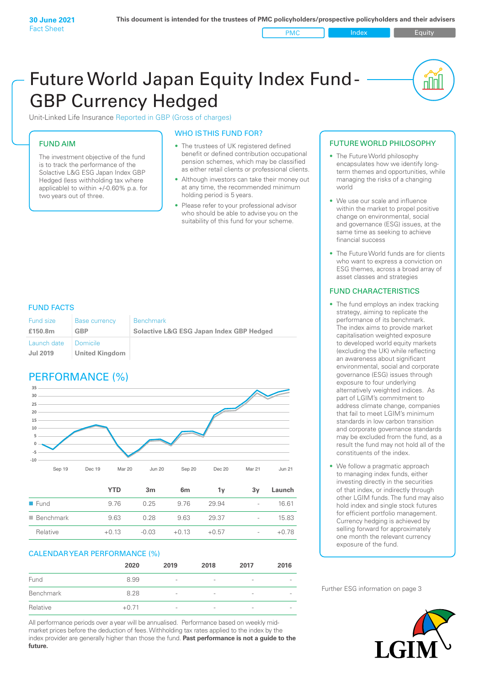PMC Index PMC Equity

<u>nul</u>

# Future World Japan Equity Index Fund - GBP Currency Hedged

Unit-Linked Life Insurance Reported in GBP (Gross of charges)

### FUND AIM

The investment objective of the fund is to track the performance of the Solactive L&G ESG Japan Index GBP Hedged (less withholding tax where applicable) to within +/-0.60% p.a. for two years out of three.

#### WHO IS THIS FUND FOR?

- The trustees of UK registered defined benefit or defined contribution occupational pension schemes, which may be classified as either retail clients or professional clients.
- Although investors can take their money out at any time, the recommended minimum holding period is 5 years.
- Please refer to your professional advisor who should be able to advise you on the suitability of this fund for your scheme.

#### FUND FACTS

| Fund size                      | <b>Base currency</b>                | <b>Benchmark</b>                                    |
|--------------------------------|-------------------------------------|-----------------------------------------------------|
| £150.8m                        | <b>GBP</b>                          | <b>Solactive L&amp;G ESG Japan Index GBP Hedged</b> |
| Launch date<br><b>Jul 2019</b> | I Domicile<br><b>United Kingdom</b> |                                                     |

## PERFORMANCE (%)



|                          | 1 I LJ  | ын      | on      |         | ΟV                       | Launch  |
|--------------------------|---------|---------|---------|---------|--------------------------|---------|
| $\blacksquare$ Fund      | 976     | 0.25    | 9.76    | 29.94   | $\overline{\phantom{a}}$ | 16.61   |
| $\blacksquare$ Benchmark | 9.63    | 0.28    | 9.63    | 29.37   | $\overline{a}$           | 15.83   |
| Relative                 | $+0.13$ | $-0.03$ | $+0.13$ | $+0.57$ | $\overline{\phantom{0}}$ | $+0.78$ |
|                          |         |         |         |         |                          |         |

#### CALENDAR YEAR PERFORMANCE (%)

|           | 2020    | 2019                     | 2018                     | 2017                     | 2016 |
|-----------|---------|--------------------------|--------------------------|--------------------------|------|
| Fund      | 8.99    | $\overline{\phantom{a}}$ | $\qquad \qquad$          | $\overline{\phantom{a}}$ |      |
| Benchmark | 8.28    | $\overline{\phantom{a}}$ | $\overline{\phantom{a}}$ | $\overline{\phantom{a}}$ |      |
| Relative  | $+0.71$ | $\overline{\phantom{a}}$ | $\overline{\phantom{a}}$ | $\overline{\phantom{a}}$ |      |

All performance periods over a year will be annualised. Performance based on weekly midmarket prices before the deduction of fees. Withholding tax rates applied to the index by the index provider are generally higher than those the fund. **Past performance is not a guide to the future.**

#### FUTURE WORLD PHILOSOPHY

- The Future World philosophy encapsulates how we identify longterm themes and opportunities, while managing the risks of a changing world
- We use our scale and influence within the market to propel positive change on environmental, social and governance (ESG) issues, at the same time as seeking to achieve financial success
- The Future World funds are for clients who want to express a conviction on ESG themes, across a broad array of asset classes and strategies

#### FUND CHARACTERISTICS

- The fund employs an index tracking strategy, aiming to replicate the performance of its benchmark. The index aims to provide market capitalisation weighted exposure to developed world equity markets (excluding the UK) while reflecting an awareness about significant environmental, social and corporate governance (ESG) issues through exposure to four underlying alternatively weighted indices. As part of LGIM's commitment to address climate change, companies that fail to meet LGIM's minimum standards in low carbon transition and corporate governance standards may be excluded from the fund, as a result the fund may not hold all of the constituents of the index.
- We follow a pragmatic approach to managing index funds, either investing directly in the securities of that index, or indirectly through other LGIM funds. The fund may also hold index and single stock futures for efficient portfolio management. Currency hedging is achieved by selling forward for approximately one month the relevant currency exposure of the fund.

Further ESG information on page 3

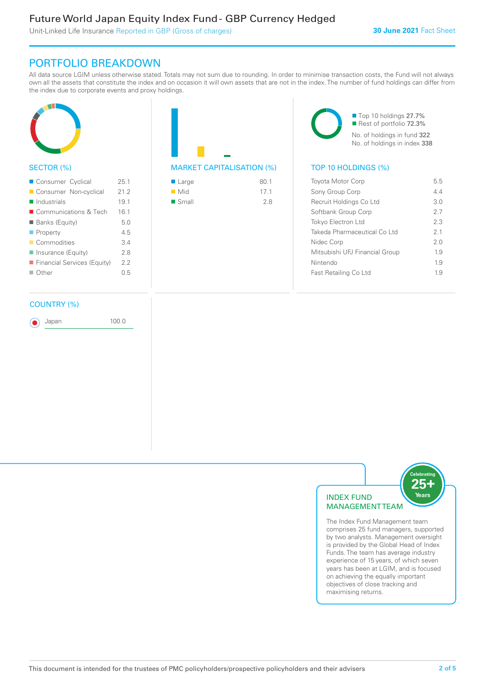### Future World Japan Equity Index Fund - GBP Currency Hedged

Unit-Linked Life Insurance Reported in GBP (Gross of charges)

### PORTFOLIO BREAKDOWN

All data source LGIM unless otherwise stated. Totals may not sum due to rounding. In order to minimise transaction costs, the Fund will not always own all the assets that constitute the index and on occasion it will own assets that are not in the index. The number of fund holdings can differ from the index due to corporate events and proxy holdings.



### SECTOR (%)

| Consumer Cyclical           | 25.1 |
|-----------------------------|------|
| Consumer Non-cyclical       | 21.2 |
| $\blacksquare$ Industrials  | 19.1 |
| ■ Communications & Tech     | 16.1 |
| <b>Banks (Equity)</b>       | 5.0  |
| $\blacksquare$ Property     | 45   |
| Commodities                 | 34   |
| Insurance (Equity)          | 28   |
| Financial Services (Equity) | 2.2  |
| $\Box$ Other                | 0.5  |
|                             |      |

#### COUNTRY (%)

Japan 100.0

MARKET CAPITALISATION (%) TOP 10 HOLDINGS (%)

| $\blacksquare$ Large | 80.1 |
|----------------------|------|
| $\blacksquare$ Mid   | 171  |
| $\blacksquare$ Small | 2.8  |

■ Top 10 holdings 27.7% Rest of portfolio 72.3% No. of holdings in fund 322 No. of holdings in index 338

| <b>Toyota Motor Corp</b>       | 55             |
|--------------------------------|----------------|
| Sony Group Corp                | 44             |
| Recruit Holdings Co Ltd        | 3 O            |
| Softbank Group Corp            | 27             |
| <b>Tokyo Electron Ltd</b>      | 23             |
| Takeda Pharmaceutical Co Ltd   | 2 <sub>1</sub> |
| Nidec Corp                     | 2.0            |
| Mitsubishi UFJ Financial Group | 19             |
| Nintendo                       | 19             |
| Fast Retailing Co Ltd          | 19             |
|                                |                |



25-Years

The Index Fund Management team comprises 25 fund managers, supported by two analysts. Management oversight is provided by the Global Head of Index Funds. The team has average industry experience of 15 years, of which seven years has been at LGIM, and is focused on achieving the equally important objectives of close tracking and maximising returns.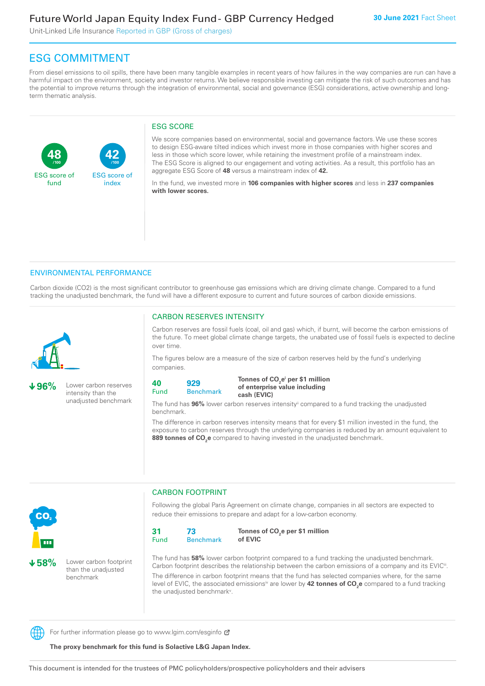Unit-Linked Life Insurance Reported in GBP (Gross of charges)

**42**

ESG score of index

## ESG COMMITMENT

**/100 /100**

From diesel emissions to oil spills, there have been many tangible examples in recent years of how failures in the way companies are run can have a harmful impact on the environment, society and investor returns. We believe responsible investing can mitigate the risk of such outcomes and has the potential to improve returns through the integration of environmental, social and governance (ESG) considerations, active ownership and longterm thematic analysis.

#### ESG SCORE

We score companies based on environmental, social and governance factors. We use these scores to design ESG-aware tilted indices which invest more in those companies with higher scores and less in those which score lower, while retaining the investment profile of a mainstream index. The ESG Score is aligned to our engagement and voting activities. As a result, this portfolio has an aggregate ESG Score of **48** versus a mainstream index of **42.**

In the fund, we invested more in **106 companies with higher scores** and less in **237 companies with lower scores.**

#### ENVIRONMENTAL PERFORMANCE

Carbon dioxide (CO2) is the most significant contributor to greenhouse gas emissions which are driving climate change. Compared to a fund tracking the unadjusted benchmark, the fund will have a different exposure to current and future sources of carbon dioxide emissions.



**48**

ESG score of fund

**96%** Lower carbon reserves intensity than the unadjusted benchmark

#### CARBON RESERVES INTENSITY

Carbon reserves are fossil fuels (coal, oil and gas) which, if burnt, will become the carbon emissions of the future. To meet global climate change targets, the unabated use of fossil fuels is expected to decline over time.

The figures below are a measure of the size of carbon reserves held by the fund's underlying companies.

```
40
Fund
         929
```
Benchmark

Tonnes of CO<sub>2</sub>e<sup>i</sup> per \$1 million **of enterprise value including cash (EVIC)**

The fund has **96%** lower carbon reserves intensityii compared to a fund tracking the unadjusted benchmark.

The difference in carbon reserves intensity means that for every \$1 million invested in the fund, the exposure to carbon reserves through the underlying companies is reduced by an amount equivalent to **889 tonnes of CO<sub>2</sub>e** compared to having invested in the unadjusted benchmark.



**58%** Lower carbon footprint than the unadjusted benchmark

CARBON FOOTPRINT

Following the global Paris Agreement on climate change, companies in all sectors are expected to reduce their emissions to prepare and adapt for a low-carbon economy.



Tonnes of CO<sub>2</sub>e per \$1 million **of EVIC**

The fund has **58%** lower carbon footprint compared to a fund tracking the unadjusted benchmark. Carbon footprint describes the relationship between the carbon emissions of a company and its EVIC<sup>ii</sup>. The difference in carbon footprint means that the fund has selected companies where, for the same level of EVIC, the associated emissionsi<sup>v</sup> are lower by **42 tonnes of CO<sub>2</sub>e** compared to a fund tracking the unadjusted benchmark<sup>v</sup>.

For further information please go to www.lgim.com/esginfo  $\sigma$ 

**The proxy benchmark for this fund is Solactive L&G Japan Index.**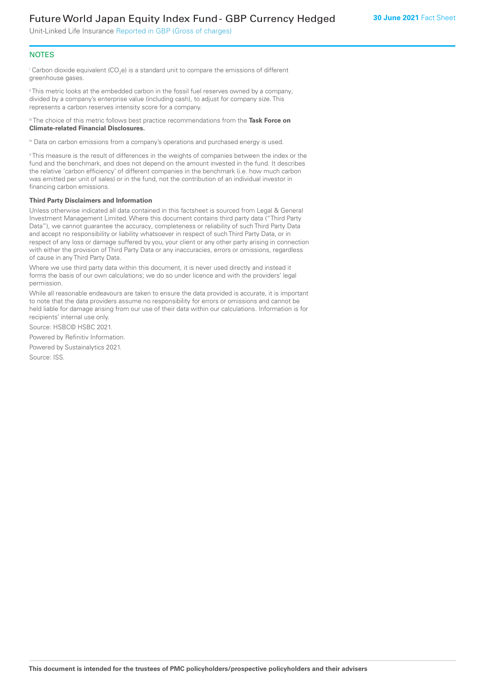### Future World Japan Equity Index Fund - GBP Currency Hedged

Unit-Linked Life Insurance Reported in GBP (Gross of charges)

#### **NOTES**

 $^\mathrm{i}$  Carbon dioxide equivalent (CO<sub>2</sub>e) is a standard unit to compare the emissions of different greenhouse gases.

ii This metric looks at the embedded carbon in the fossil fuel reserves owned by a company, divided by a company's enterprise value (including cash), to adjust for company size. This represents a carbon reserves intensity score for a company.

iii The choice of this metric follows best practice recommendations from the **Task Force on Climate-related Financial Disclosures.**

iv Data on carbon emissions from a company's operations and purchased energy is used.

v This measure is the result of differences in the weights of companies between the index or the fund and the benchmark, and does not depend on the amount invested in the fund. It describes the relative 'carbon efficiency' of different companies in the benchmark (i.e. how much carbon was emitted per unit of sales) or in the fund, not the contribution of an individual investor in financing carbon emissions.

#### **Third Party Disclaimers and Information**

Unless otherwise indicated all data contained in this factsheet is sourced from Legal & General Investment Management Limited. Where this document contains third party data ("Third Party Data"), we cannot guarantee the accuracy, completeness or reliability of such Third Party Data and accept no responsibility or liability whatsoever in respect of such Third Party Data, or in respect of any loss or damage suffered by you, your client or any other party arising in connection with either the provision of Third Party Data or any inaccuracies, errors or omissions, regardless of cause in any Third Party Data.

Where we use third party data within this document, it is never used directly and instead it forms the basis of our own calculations; we do so under licence and with the providers' legal permission.

While all reasonable endeavours are taken to ensure the data provided is accurate, it is important to note that the data providers assume no responsibility for errors or omissions and cannot be held liable for damage arising from our use of their data within our calculations. Information is for recipients' internal use only.

Source: HSBC© HSBC 2021.

Powered by Refinitiv Information.

Powered by Sustainalytics 2021.

Source: ISS.